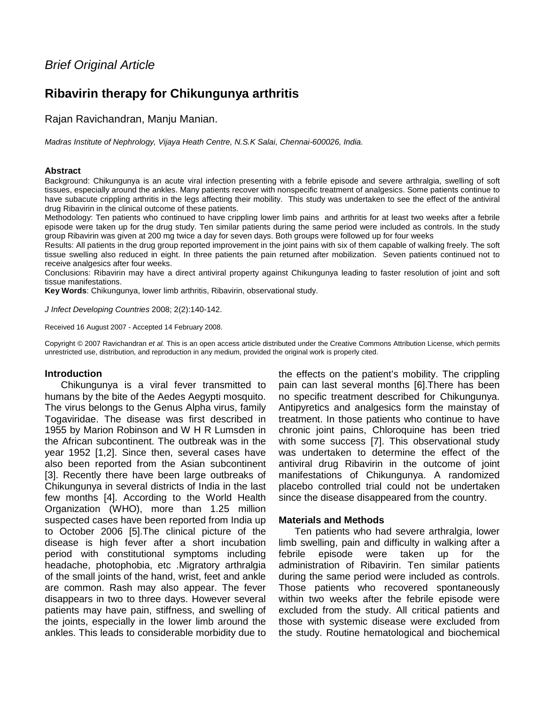# **Ribavirin therapy for Chikungunya arthritis**

Rajan Ravichandran, Manju Manian.

Madras Institute of Nephrology, Vijaya Heath Centre, N.S.K Salai, Chennai-600026, India.

#### **Abstract**

Background: Chikungunya is an acute viral infection presenting with a febrile episode and severe arthralgia, swelling of soft tissues, especially around the ankles. Many patients recover with nonspecific treatment of analgesics. Some patients continue to have subacute crippling arthritis in the legs affecting their mobility. This study was undertaken to see the effect of the antiviral drug Ribavirin in the clinical outcome of these patients.

Methodology: Ten patients who continued to have crippling lower limb pains and arthritis for at least two weeks after a febrile episode were taken up for the drug study. Ten similar patients during the same period were included as controls. In the study group Ribavirin was given at 200 mg twice a day for seven days. Both groups were followed up for four weeks

Results: All patients in the drug group reported improvement in the joint pains with six of them capable of walking freely. The soft tissue swelling also reduced in eight. In three patients the pain returned after mobilization. Seven patients continued not to receive analgesics after four weeks.

Conclusions: Ribavirin may have a direct antiviral property against Chikungunya leading to faster resolution of joint and soft tissue manifestations.

**Key Words**: Chikungunya, lower limb arthritis, Ribavirin, observational study.

J Infect Developing Countries 2008; 2(2):140-142.

Received 16 August 2007 - Accepted 14 February 2008.

Copyright © 2007 Ravichandran et al. This is an open access article distributed under the Creative Commons Attribution License, which permits unrestricted use, distribution, and reproduction in any medium, provided the original work is properly cited.

## **Introduction**

Chikungunya is a viral fever transmitted to humans by the bite of the Aedes Aegypti mosquito. The virus belongs to the Genus Alpha virus, family Togaviridae. The disease was first described in 1955 by Marion Robinson and W H R Lumsden in the African subcontinent. The outbreak was in the year 1952 [1,2]. Since then, several cases have also been reported from the Asian subcontinent [3]. Recently there have been large outbreaks of Chikungunya in several districts of India in the last few months [4]. According to the World Health Organization (WHO), more than 1.25 million suspected cases have been reported from India up to October 2006 [5].The clinical picture of the disease is high fever after a short incubation period with constitutional symptoms including headache, photophobia, etc .Migratory arthralgia of the small joints of the hand, wrist, feet and ankle are common. Rash may also appear. The fever disappears in two to three days. However several patients may have pain, stiffness, and swelling of the joints, especially in the lower limb around the ankles. This leads to considerable morbidity due to

the effects on the patient's mobility. The crippling pain can last several months [6].There has been no specific treatment described for Chikungunya. Antipyretics and analgesics form the mainstay of treatment. In those patients who continue to have chronic joint pains, Chloroquine has been tried with some success [7]. This observational study was undertaken to determine the effect of the antiviral drug Ribavirin in the outcome of joint manifestations of Chikungunya. A randomized placebo controlled trial could not be undertaken since the disease disappeared from the country.

## **Materials and Methods**

Ten patients who had severe arthralgia, lower limb swelling, pain and difficulty in walking after a febrile episode were taken up for the administration of Ribavirin. Ten similar patients during the same period were included as controls. Those patients who recovered spontaneously within two weeks after the febrile episode were excluded from the study. All critical patients and those with systemic disease were excluded from the study. Routine hematological and biochemical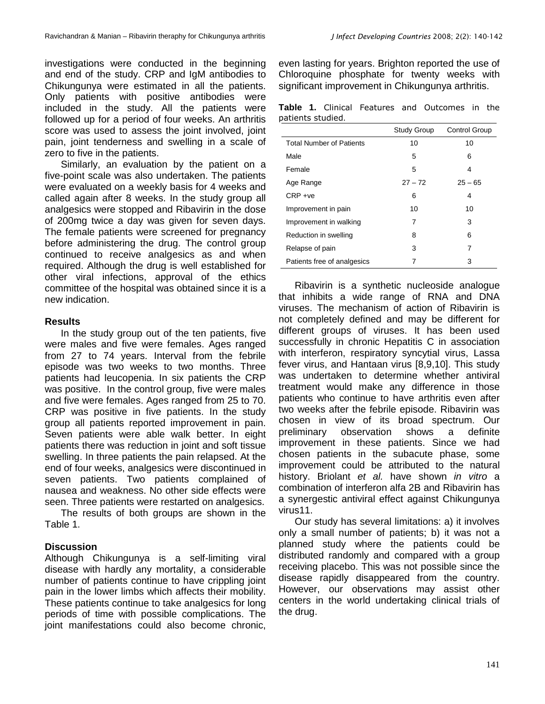investigations were conducted in the beginning and end of the study. CRP and IgM antibodies to Chikungunya were estimated in all the patients. Only patients with positive antibodies were included in the study. All the patients were followed up for a period of four weeks. An arthritis score was used to assess the joint involved, joint pain, joint tenderness and swelling in a scale of zero to five in the patients.

Similarly, an evaluation by the patient on a five-point scale was also undertaken. The patients were evaluated on a weekly basis for 4 weeks and called again after 8 weeks. In the study group all analgesics were stopped and Ribavirin in the dose of 200mg twice a day was given for seven days. The female patients were screened for pregnancy before administering the drug. The control group continued to receive analgesics as and when required. Although the drug is well established for other viral infections, approval of the ethics committee of the hospital was obtained since it is a new indication.

## **Results**

In the study group out of the ten patients, five were males and five were females. Ages ranged from 27 to 74 years. Interval from the febrile episode was two weeks to two months. Three patients had leucopenia. In six patients the CRP was positive. In the control group, five were males and five were females. Ages ranged from 25 to 70. CRP was positive in five patients. In the study group all patients reported improvement in pain. Seven patients were able walk better. In eight patients there was reduction in joint and soft tissue swelling. In three patients the pain relapsed. At the end of four weeks, analgesics were discontinued in seven patients. Two patients complained of nausea and weakness. No other side effects were seen. Three patients were restarted on analgesics.

The results of both groups are shown in the Table 1.

# **Discussion**

Although Chikungunya is a self-limiting viral disease with hardly any mortality, a considerable number of patients continue to have crippling joint pain in the lower limbs which affects their mobility. These patients continue to take analgesics for long periods of time with possible complications. The joint manifestations could also become chronic, even lasting for years. Brighton reported the use of Chloroquine phosphate for twenty weeks with significant improvement in Chikungunya arthritis.

**Table 1.** Clinical Features and Outcomes in the patients studied.

|                                 | <b>Study Group</b> | <b>Control Group</b> |
|---------------------------------|--------------------|----------------------|
| <b>Total Number of Patients</b> | 10                 | 10                   |
| Male                            | 5                  | 6                    |
| Female                          | 5                  | 4                    |
| Age Range                       | $27 - 72$          | $25 - 65$            |
| $CRP +ve$                       | 6                  | 4                    |
| Improvement in pain             | 10                 | 10                   |
| Improvement in walking          | 7                  | 3                    |
| Reduction in swelling           | 8                  | 6                    |
| Relapse of pain                 | 3                  | 7                    |
| Patients free of analgesics     |                    | 3                    |

Ribavirin is a synthetic nucleoside analogue that inhibits a wide range of RNA and DNA viruses. The mechanism of action of Ribavirin is not completely defined and may be different for different groups of viruses. It has been used successfully in chronic Hepatitis C in association with interferon, respiratory syncytial virus, Lassa fever virus, and Hantaan virus [8,9,10]. This study was undertaken to determine whether antiviral treatment would make any difference in those patients who continue to have arthritis even after two weeks after the febrile episode. Ribavirin was chosen in view of its broad spectrum. Our preliminary observation shows a definite improvement in these patients. Since we had chosen patients in the subacute phase, some improvement could be attributed to the natural history. Briolant et al. have shown in vitro a combination of interferon alfa 2B and Ribavirin has a synergestic antiviral effect against Chikungunya virus11.

Our study has several limitations: a) it involves only a small number of patients; b) it was not a planned study where the patients could be distributed randomly and compared with a group receiving placebo. This was not possible since the disease rapidly disappeared from the country. However, our observations may assist other centers in the world undertaking clinical trials of the drug.